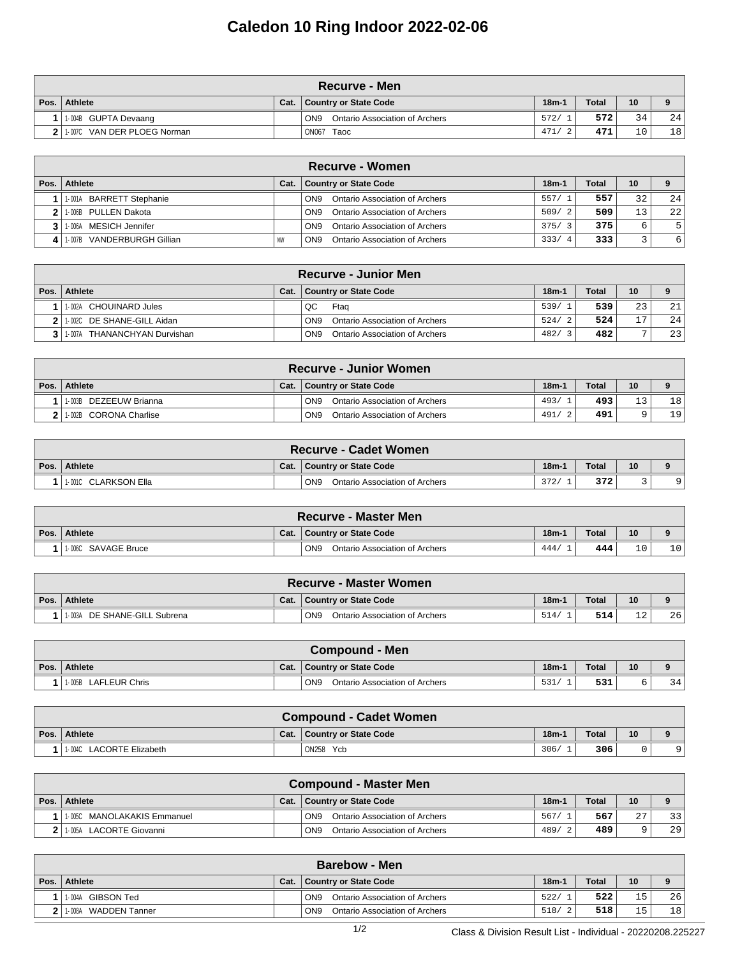## **Caledon 10 Ring Indoor 2022-02-06**

| ∖Recurve - Men              |      |                                                   |         |              |    |                 |  |  |  |  |
|-----------------------------|------|---------------------------------------------------|---------|--------------|----|-----------------|--|--|--|--|
| Pos. Athlete                | Cat. | <b>Country or State Code</b>                      | $18m-1$ | <b>Total</b> | 10 |                 |  |  |  |  |
| 1-004B GUPTA Devaang        |      | ON <sub>9</sub><br>Ontario Association of Archers | 572/    | 572          | 34 | 24              |  |  |  |  |
| 1.007C VAN DER PLOEG Norman |      | <b>ON067</b><br>Taoc                              | 471/    | 471          | 10 | 18 <sub>1</sub> |  |  |  |  |

|              | Recurve - Women            |           |                                                   |            |              |    |    |  |  |  |  |
|--------------|----------------------------|-----------|---------------------------------------------------|------------|--------------|----|----|--|--|--|--|
| Pos. $\vert$ | Athlete                    | Cat.      | Country or State Code                             | $18m-1$    | <b>Total</b> | 10 |    |  |  |  |  |
|              | 1-001A BARRETT Stephanie   |           | Ontario Association of Archers<br>ON <sub>9</sub> | 557/1      | 557          | 32 | 24 |  |  |  |  |
|              | 1-006B PULLEN Dakota       |           | Ontario Association of Archers<br>ON <sub>9</sub> | 509/2      | 509          | 13 | 22 |  |  |  |  |
|              | MESICH Jennifer<br>1-006A  |           | Ontario Association of Archers<br>ON <sub>9</sub> | 375/3      | 375          | 6  | 5  |  |  |  |  |
|              | 1-007B VANDERBURGH Gillian | <b>MW</b> | Ontario Association of Archers<br>ON <sub>9</sub> | 333/<br>-4 | 333          |    | 6  |  |  |  |  |

|        | <b>Recurve - Junior Men</b>     |      |                                                          |         |              |    |    |  |  |  |  |
|--------|---------------------------------|------|----------------------------------------------------------|---------|--------------|----|----|--|--|--|--|
| Pos. I | Athlete                         | Cat. | Country or State Code                                    | $18m-1$ | <b>Total</b> | 10 |    |  |  |  |  |
|        | 1-002A CHOUINARD Jules          |      | QC<br>Ftag                                               | 539/    | 539          | 23 | 21 |  |  |  |  |
|        | 1-002C DE SHANE-GILL Aidan      |      | Ontario Association of Archers<br>ON <sub>9</sub>        | 524/    | 524          | 7  | 24 |  |  |  |  |
|        | THANANCHYAN Durvishan<br>1-007A |      | <b>Ontario Association of Archers</b><br>ON <sub>9</sub> | 482/    | 482          |    | 23 |  |  |  |  |

| <b>Recurve - Junior Women</b> |      |                                                          |         |       |     |    |  |  |  |  |
|-------------------------------|------|----------------------------------------------------------|---------|-------|-----|----|--|--|--|--|
| Pos.   Athlete                | Cat. | <b>Country or State Code</b>                             | $18m-1$ | Total | 10  |    |  |  |  |  |
| DEZEEUW Brianna<br>1-003B     |      | ON <sub>9</sub><br>Ontario Association of Archers        | 493/    | 493   | 1 2 | 18 |  |  |  |  |
| 1-002B CORONA Charlise        |      | <b>Ontario Association of Archers</b><br>ON <sub>9</sub> | 491     | 491   |     | 19 |  |  |  |  |

|      | <b>Recurve - Cadet Women</b> |      |                                                          |         |              |    |  |  |  |  |
|------|------------------------------|------|----------------------------------------------------------|---------|--------------|----|--|--|--|--|
| Pos. | <b>Athlete</b>               | Cat. | Country or State Code                                    | $18m-1$ | <b>Total</b> | 10 |  |  |  |  |
|      | <b>11-001C CLARKSON Ella</b> |      | ON <sub>9</sub><br><b>Ontario Association of Archers</b> | 372/    | 372          |    |  |  |  |  |

| <b>Recurve - Master Men</b> |      |                                                   |         |              |                |    |  |  |
|-----------------------------|------|---------------------------------------------------|---------|--------------|----------------|----|--|--|
| Pos. Athlete                | Cat. | Country or State Code                             | $18m-1$ | <b>Total</b> | 10             |    |  |  |
| 1.006C SAVAGE Bruce         |      | ON <sub>9</sub><br>Ontario Association of Archers | 444     | 444          | 1 <sub>0</sub> | 10 |  |  |

|      | <b>Recurve - Master Women</b> |      |                                                          |         |       |     |    |  |  |  |
|------|-------------------------------|------|----------------------------------------------------------|---------|-------|-----|----|--|--|--|
| Pos. | Athlete                       | Cat. | Country or State Code                                    | $18m-1$ | Total | 10  |    |  |  |  |
|      | 1003A DE SHANE-GILL Subrena   |      | ON <sub>9</sub><br><b>Ontario Association of Archers</b> | 514     | 514   | າ ^ | 26 |  |  |  |

|      | <b>Compound - Men</b> |      |                                                          |         |              |    |    |  |  |  |
|------|-----------------------|------|----------------------------------------------------------|---------|--------------|----|----|--|--|--|
| Pos. | Athlete               | Cat. | <b>Country or State Code</b>                             | $18m-1$ | <b>Total</b> | 10 |    |  |  |  |
|      | 11-005B LAFLEUR Chris |      | ON <sub>9</sub><br><b>Ontario Association of Archers</b> | 531.    | 531          |    | 34 |  |  |  |

|      | <b>Compound - Cadet Women</b>      |      |                       |         |              |    |  |  |  |  |
|------|------------------------------------|------|-----------------------|---------|--------------|----|--|--|--|--|
| Pos. | <b>Athlete</b>                     | Cat. | Country or State Code | $18m-1$ | <b>Total</b> | 10 |  |  |  |  |
|      | <b>LACORTE Elizabeth</b><br>1-004C |      | ON258<br>Ycb          | 306/    | 306          |    |  |  |  |  |

| <b>Compound - Master Men</b>      |  |                                                   |         |       |    |    |  |  |  |  |
|-----------------------------------|--|---------------------------------------------------|---------|-------|----|----|--|--|--|--|
| Pos. Athlete                      |  | Cat.   Country or State Code                      | $18m-1$ | Total | 10 |    |  |  |  |  |
| 1-005C MANOLAKAKIS Emmanuel       |  | ON <sub>9</sub><br>Ontario Association of Archers | 567/    | 567   | 27 | 33 |  |  |  |  |
| <b>LACORTE Giovanni</b><br>1-005A |  | ON <sub>9</sub><br>Ontario Association of Archers | 489/    | 489   |    | 29 |  |  |  |  |

|      | <b>Barebow - Men</b>    |      |                                                   |         |              |     |                 |  |  |  |  |
|------|-------------------------|------|---------------------------------------------------|---------|--------------|-----|-----------------|--|--|--|--|
| Pos. | Athlete                 | Cat. | Country or State Code                             | $18m-1$ | <b>Total</b> | 10  | $\mathbf o$     |  |  |  |  |
|      | GIBSON Ted<br>1-004A    |      | ON <sub>9</sub><br>Ontario Association of Archers | 522/    | 522          | 15  | 26              |  |  |  |  |
|      | 1-008A<br>WADDEN Tanner |      | ON <sub>9</sub><br>Ontario Association of Archers | 518/    | 518          | 1 E | 18 <sub>1</sub> |  |  |  |  |